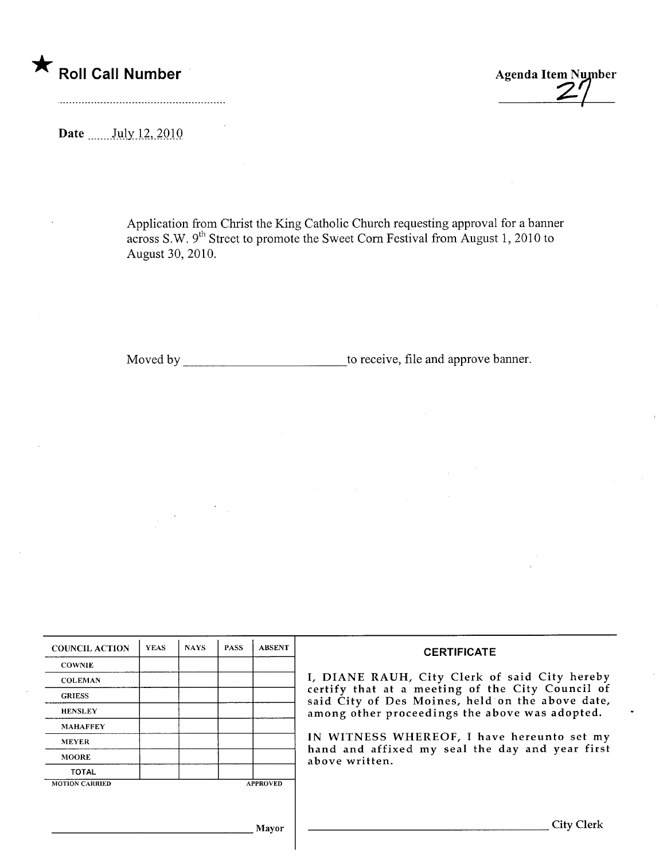\* Roll Call Number Agenda Item Number

Date  $\frac{\text{July }12,2010}{\text{July}}$ 

Application from Christ the King Catholic Church requesting approval for a banner across S.W. 9<sup>th</sup> Street to promote the Sweet Corn Festival from August 1, 2010 to August 30,2010.

Moved by to receive, file and approve banner.

| <b>COUNCIL ACTION</b> | <b>YEAS</b> | <b>NAYS</b> | <b>PASS</b> | <b>ABSENT</b>   | <b>CERTIFICATE</b>                                                                                   |
|-----------------------|-------------|-------------|-------------|-----------------|------------------------------------------------------------------------------------------------------|
| <b>COWNIE</b>         |             |             |             |                 |                                                                                                      |
| <b>COLEMAN</b>        |             |             |             |                 | I, DIANE RAUH, City Clerk of said City hereby                                                        |
| <b>GRIESS</b>         |             |             |             |                 | certify that at a meeting of the City Council of<br>said City of Des Moines, held on the above date, |
| <b>HENSLEY</b>        |             |             |             |                 | among other proceedings the above was adopted.                                                       |
| <b>MAHAFFEY</b>       |             |             |             |                 |                                                                                                      |
| <b>MEYER</b>          |             |             |             |                 | IN WITNESS WHEREOF, I have hereunto set my                                                           |
| <b>MOORE</b>          |             |             |             |                 | hand and affixed my seal the day and year first<br>above written.                                    |
| <b>TOTAL</b>          |             |             |             |                 |                                                                                                      |
| <b>MOTION CARRIED</b> |             |             |             | <b>APPROVED</b> |                                                                                                      |
|                       |             |             |             |                 |                                                                                                      |
|                       |             |             |             |                 |                                                                                                      |
|                       |             |             |             | Mayor           | City Clerk                                                                                           |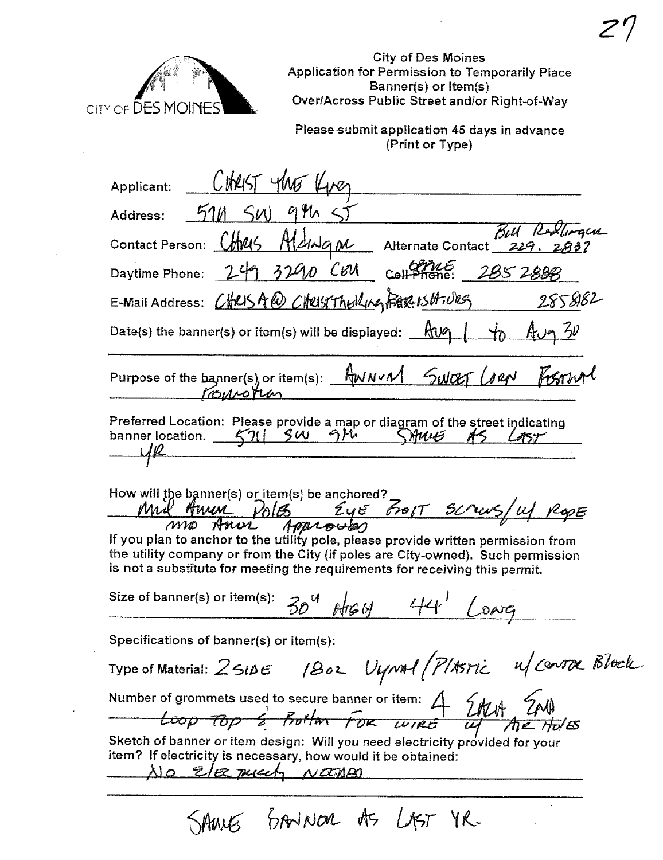

City of Des Moines Application for Permission to Temporarily Place Banner(s) or Item(s)<br>District Defends (Sanner(s) or Item(s)

Please-submit application 45 days in advance<br>(Print or Type)

| Applicant:                                                                                                                                                                                                                                          |
|-----------------------------------------------------------------------------------------------------------------------------------------------------------------------------------------------------------------------------------------------------|
| 946<<br>Address: $51/1$ $5/1$                                                                                                                                                                                                                       |
| Bull Resolvergen<br>Contact Person: CHM45 HLdMqm Alternate Contact 229. 283                                                                                                                                                                         |
| Daytime Phone: $249$ $3290$ CEM coll Phone: $2852888$                                                                                                                                                                                               |
| E-Mail Address: CHRISA@ CHRISTACKING FERENSHIVES 2858182                                                                                                                                                                                            |
| Date(s) the banner(s) or item(s) will be displayed: $\frac{Rv}{\sqrt{2}}$ $\frac{1}{\sqrt{2}}$ $\frac{A}{\sqrt{2}}$ $\frac{2V}{\sqrt{2}}$                                                                                                           |
| Purpose of the banner(s), or item(s): AWNVM SWOLT (82N FIGTIVAT                                                                                                                                                                                     |
| Preferred Location: Please provide a map or diagram of the street indicating<br>banner location. 571 SW 914 SAWS AS LAST<br>U/R                                                                                                                     |
| How will the banner(s) or item(s) be anchored?<br>Mil Amin Polo Eye From screws/u/ Rope                                                                                                                                                             |
| If you plan to anchor to the utility pole, please provide written permission from<br>the utility company or from the City (if poles are City-owned). Such permission<br>is not a substitute for meeting the requirements for receiving this permit. |
| Size of banner(s) or item(s):<br>$30^4$ Argy 44' (                                                                                                                                                                                                  |
| Specifications of $banner(s)$ or item(s):                                                                                                                                                                                                           |
| Type of Material: 2510E 1802 Uynol (PlASTIC 4/CONTOC Block                                                                                                                                                                                          |
| Number of grommets used to secure banner or item: $4$ $200 + 200$<br>$100 - 70p$ $2$ $100$ $100$ $100$ $100$ $100$ $100$ $100$ $100$ $100$ $100$ $100$ $100$ $100$ $100$ $100$ $100$ $100$ $100$ $100$ $100$ $100$ $100$ $100$ $1$                  |
| Sketch of banner or item design: Will you need electricity provided for your<br>item? If electricity is necessary, how would it be obtained:<br><u>No Elez much NOONAS</u>                                                                          |
|                                                                                                                                                                                                                                                     |

SAME SANNOR AS LAST YR.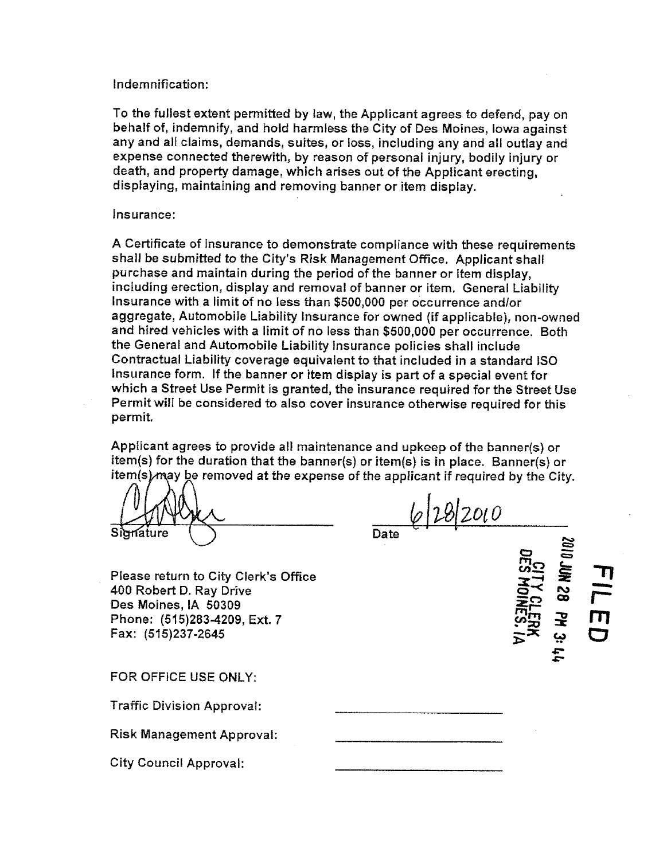## Indemnification:

To the fullest extent permitted by law, the Applicant agrees to defend, pay on behalf of, indemnify, and hold harmless the City of Des Moines, Iowa against any and all claims, demands, suites, or loss, including any and all outlay and expense connected therewith, by reason of personal injury, bodily injury or death, and property damage, which arises out of the Applicant erecting, displaying, maintaining and removing banner or item display.

## Insurance:

A Certificate of Insurance to demonstrate compliance with these requirements shall be submitted to the City's Risk Management Office. Applicant shall purchase and maintain during the period of the banner or item display, including erection, display and removal of banner or item. General Liability Insurance with a limit of no less than \$500,000 per occurrence and/or aggregate, Automobile Liability Insurance for owned (if applicable), non-owned and hired vehicles with a limit of no less than \$500,000 per occurrence. Both the General and Automobile Liabilty Insurance policies shall include Contractual Liabilty coverage equivalent to that included in a standard ISO Insurance form. If the banner or item display is part of a special event for which a Street Use Permit is granted, the insurance required for the Street Use Permit will be considered to also cover insurance otherwise required for this permit.

Applicant agrees to provide all maintenance and upkeep of the banner(s) or item(s) for the duration that the banner(s) or item(s) is in place. Banner(s) or item(s) $\text{mag}$  be removed at the expense of the applicant if required by the City.

nature

 $6|28|20|0$ 

- \_<br>≌ iig. ~ r\ co

-<br>그<br>그

r-

m o

**NS30**<br>LID

**COME** 

ERK<br>ES. IA

~ ببه  $\overline{\mathbf{r}}$  $\ddot{r}$ 

Please return to City Clerk's Office 400 Robert D. Ray Drive Des Moines, IA 50309 Phone: (515)283-4209, Ext. 7 Fax: (515)237-2645

FOR OFFICE USE ONLY:

Traffic Division Approval:

Risk Management Approval:

City Council Approval: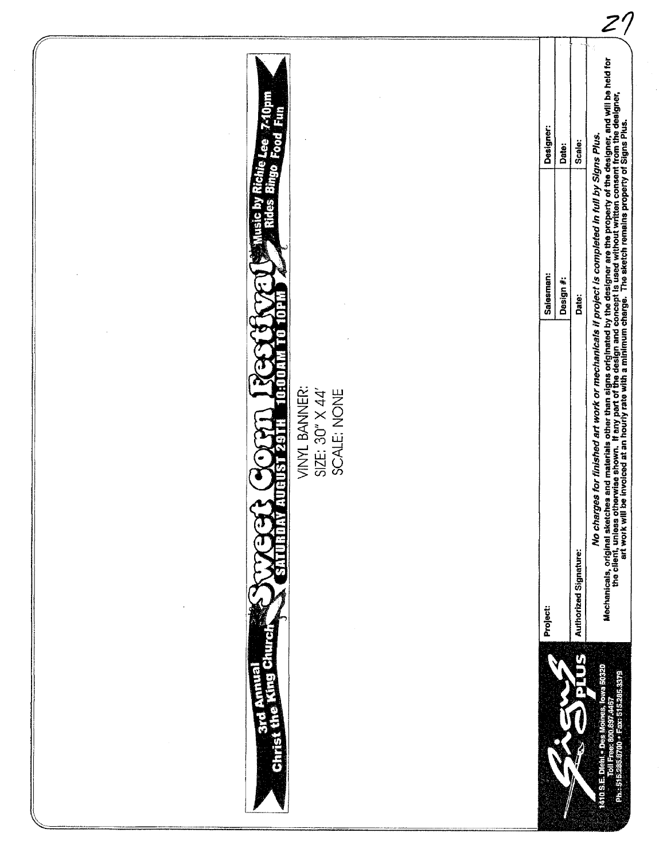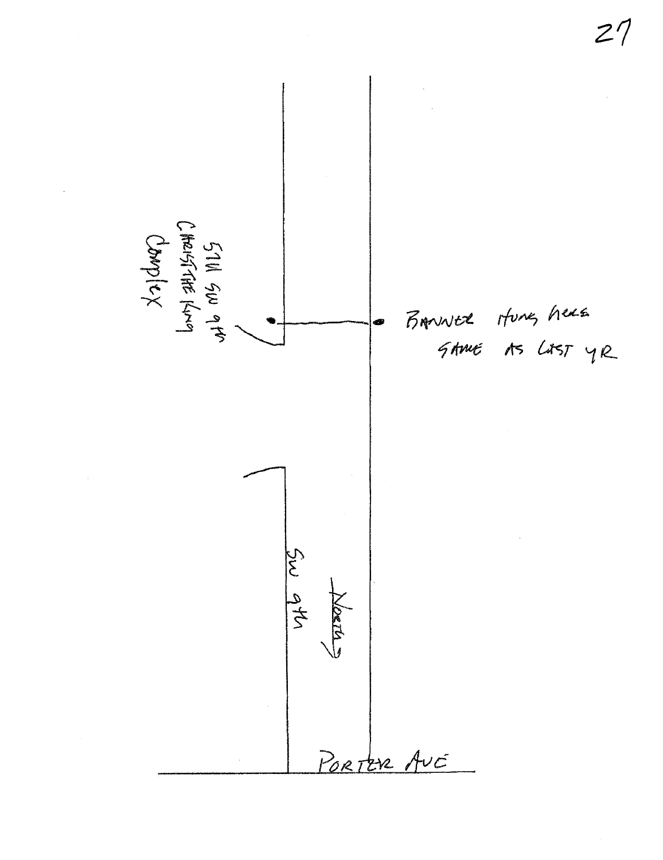57111 SW 914<br>CHRISTAE KN9<br>CharpleX BANNER Hung here Sw 9th ORTA PORTER AUC

 $27$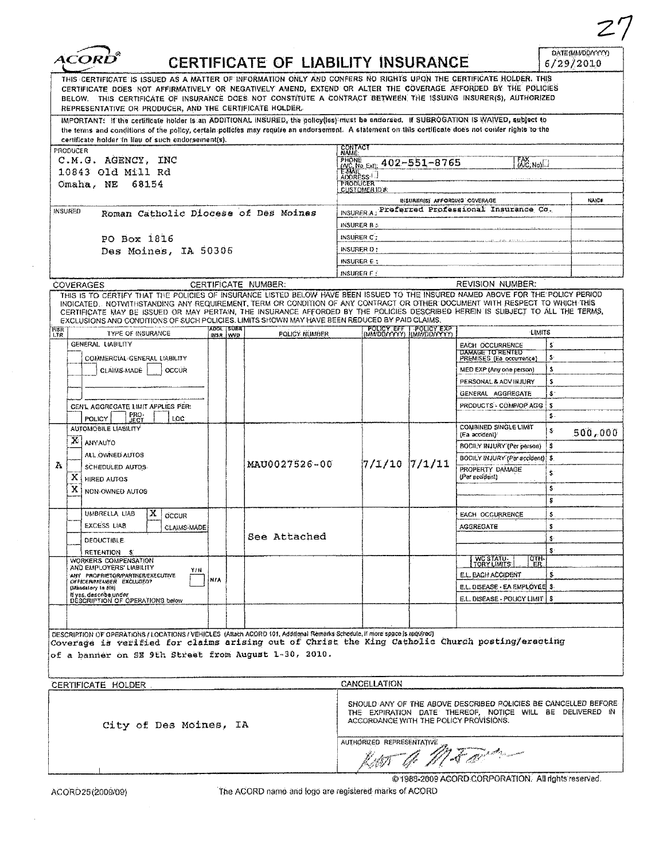| CERTIFICATE OF LIABILITY INSURANCE<br>THIS CERTIFICATE IS ISSUED AS A MATTER OF INFORMATION ONLY AND CONFERS NO RIGHTS UPON THE CERTIFICATE HOLDER. THIS |                                                                                                                                                                                                                                                                                                                                                                                                                                                                                                                        |            |                        |                     |            |                           |                                                      |                                                                                                                                                                      | DATE (MM/DD/YYYY)<br>6/29/2010 |         |  |
|----------------------------------------------------------------------------------------------------------------------------------------------------------|------------------------------------------------------------------------------------------------------------------------------------------------------------------------------------------------------------------------------------------------------------------------------------------------------------------------------------------------------------------------------------------------------------------------------------------------------------------------------------------------------------------------|------------|------------------------|---------------------|------------|---------------------------|------------------------------------------------------|----------------------------------------------------------------------------------------------------------------------------------------------------------------------|--------------------------------|---------|--|
|                                                                                                                                                          | CERTIFICATE DOES NOT AFFIRMATIVELY OR NEGATIVELY AMEND, EXTEND OR ALTER THE COVERAGE AFFORDED BY THE POLICIES<br>BELOW. THIS CERTIFICATE OF INSURANCE DOES NOT CONSTITUTE A CONTRACT BETWEEN THE ISSUING INSURER(S), AUTHORIZED<br>REPRESENTATIVE OR PRODUCER, AND THE CERTIFICATE HOLDER.                                                                                                                                                                                                                             |            |                        |                     |            |                           |                                                      |                                                                                                                                                                      |                                |         |  |
|                                                                                                                                                          | IMPORTANT: If the certificate holder is an ADDITIONAL INSURED, the policylies must be endorsed. If SUBROGATION IS WAIVED, subject to<br>the terms and conditions of the policy, certain policies may require an endorsement. A statement on this certificate does not conter rights to the<br>certificate holder in lieu of such endorsement(s).                                                                                                                                                                       |            |                        |                     |            |                           |                                                      |                                                                                                                                                                      |                                |         |  |
|                                                                                                                                                          | PRODUCER                                                                                                                                                                                                                                                                                                                                                                                                                                                                                                               |            |                        |                     | CONTACT    |                           |                                                      |                                                                                                                                                                      |                                |         |  |
|                                                                                                                                                          | C.M.G. AGENCY, INC                                                                                                                                                                                                                                                                                                                                                                                                                                                                                                     |            |                        |                     |            |                           | PHONE 402-551-8765                                   | <b>EAX</b> NOIL                                                                                                                                                      |                                |         |  |
|                                                                                                                                                          | 10843 Old Mill Rd<br>Omaha, NE 68154                                                                                                                                                                                                                                                                                                                                                                                                                                                                                   |            |                        |                     |            |                           |                                                      |                                                                                                                                                                      |                                |         |  |
|                                                                                                                                                          |                                                                                                                                                                                                                                                                                                                                                                                                                                                                                                                        |            |                        |                     |            | <b>PRODUCER</b>           |                                                      |                                                                                                                                                                      |                                |         |  |
|                                                                                                                                                          | INSURED<br>Roman Catholic Diocese of Des Moines                                                                                                                                                                                                                                                                                                                                                                                                                                                                        |            |                        |                     | INSURER A: |                           | INSURER(5) AFFORDING COVERAGE                        | Preferred Professional Insurance Co.                                                                                                                                 |                                | NAICE   |  |
|                                                                                                                                                          |                                                                                                                                                                                                                                                                                                                                                                                                                                                                                                                        |            |                        |                     |            | <b>INSURER B :</b>        |                                                      |                                                                                                                                                                      |                                |         |  |
|                                                                                                                                                          | PO Box 1816                                                                                                                                                                                                                                                                                                                                                                                                                                                                                                            |            |                        |                     |            | INSURER C:                |                                                      |                                                                                                                                                                      |                                |         |  |
|                                                                                                                                                          | Des Moines, IA 50306                                                                                                                                                                                                                                                                                                                                                                                                                                                                                                   |            |                        |                     |            | INSURER D:                |                                                      |                                                                                                                                                                      |                                |         |  |
|                                                                                                                                                          |                                                                                                                                                                                                                                                                                                                                                                                                                                                                                                                        |            |                        |                     |            | INSURER E.                |                                                      |                                                                                                                                                                      |                                |         |  |
|                                                                                                                                                          |                                                                                                                                                                                                                                                                                                                                                                                                                                                                                                                        |            |                        |                     |            | INSURER F $\lesssim$      |                                                      | REVISION NUMBER:                                                                                                                                                     |                                |         |  |
|                                                                                                                                                          | <b>COVERAGES</b><br>THIS IS TO CERTIFY THAT THE POLICIES OF INSURANCE LISTED BELOW HAVE BEEN ISSUED TO THE INSURED NAMED ABOVE FOR THE POLICY PERIOD<br>INDICATED. NOTWITHSTANDING ANY REQUIREMENT, TERM OR CONDITION OF ANY CONTRACT OR OTHER DOCUMENT WITH RESPECT TO WHICH THIS<br>CERTIFICATE MAY BE ISSUED OR MAY PERTAIN, THE INSURANCE AFFORDED BY THE POLICIES DESCRIBED HEREIN IS SUBJECT TO ALL THE TERMS.<br>EXCLUSIONS AND CONDITIONS OF SUCH POLICIES. LIMITS SHOWN MAY HAVE BEEN REDUCED BY PAID CLAIMS. |            |                        | CERTIFICATE NUMBER: |            |                           |                                                      |                                                                                                                                                                      |                                |         |  |
| <b>INSR</b><br>LTR.                                                                                                                                      | TYPE OF INSURANCE                                                                                                                                                                                                                                                                                                                                                                                                                                                                                                      |            | ADOL SUAR<br>INSR İWVD | POLICY NUMBER       |            |                           | POLICY EFF I POLICY EXP<br>(MM/DD/YYYY) (MM/DD/YYYY) | <b>LIMITS</b>                                                                                                                                                        |                                |         |  |
|                                                                                                                                                          | GENERAL LIABILITY                                                                                                                                                                                                                                                                                                                                                                                                                                                                                                      |            |                        |                     |            |                           |                                                      | <b>EACH OCCURRENCE</b><br><b>DAMAGE TO RENTED</b>                                                                                                                    | s                              |         |  |
|                                                                                                                                                          | COMMERCIAL GENERAL LIABILITY                                                                                                                                                                                                                                                                                                                                                                                                                                                                                           |            |                        |                     |            |                           |                                                      | PREMISES (Ea occurrence)                                                                                                                                             | $\mathbf{S}$                   |         |  |
|                                                                                                                                                          | CLAIMS-MADE<br><b>OCCUR</b>                                                                                                                                                                                                                                                                                                                                                                                                                                                                                            |            |                        |                     |            |                           |                                                      | MED EXP (Any one person)                                                                                                                                             | ŝ                              |         |  |
|                                                                                                                                                          |                                                                                                                                                                                                                                                                                                                                                                                                                                                                                                                        |            |                        |                     |            |                           |                                                      | PERSONAL & ADVINJURY                                                                                                                                                 | s                              |         |  |
|                                                                                                                                                          |                                                                                                                                                                                                                                                                                                                                                                                                                                                                                                                        |            |                        |                     |            |                           |                                                      | GENERAL AGGREGATE<br>PRODUCTS - COMPIOP AGG                                                                                                                          | S.<br>İS                       |         |  |
|                                                                                                                                                          | <b>CEN'L AGGREGATE LIMIT APPLIES PER:</b><br>PRO-<br>JECT<br><b>POLICY</b><br>LOC <sup>-</sup>                                                                                                                                                                                                                                                                                                                                                                                                                         |            |                        |                     |            |                           |                                                      |                                                                                                                                                                      | -5 -                           |         |  |
|                                                                                                                                                          | AUTOMOBILE LIABILITY                                                                                                                                                                                                                                                                                                                                                                                                                                                                                                   |            |                        |                     |            |                           |                                                      | COMBINED SINGLE LIMIT                                                                                                                                                | S                              | 500,000 |  |
|                                                                                                                                                          | $\mathbf{X}$ ANYAUTO                                                                                                                                                                                                                                                                                                                                                                                                                                                                                                   |            |                        |                     |            |                           |                                                      | (Ea accident)<br>BODILY INJURY (Per person)                                                                                                                          | ß.                             |         |  |
|                                                                                                                                                          | ALL OWNED AUTOS                                                                                                                                                                                                                                                                                                                                                                                                                                                                                                        |            |                        |                     |            |                           |                                                      | BODILY INJURY (Per accident) \$                                                                                                                                      |                                |         |  |
| A                                                                                                                                                        | SCHEDULED AUTOS                                                                                                                                                                                                                                                                                                                                                                                                                                                                                                        |            | MAU0027526-00          |                     |            | 7/1/10 7/1/11             | PROPERTY DAMAGE                                      | Ş.                                                                                                                                                                   |                                |         |  |
|                                                                                                                                                          | X HIRED AUTOS<br>x                                                                                                                                                                                                                                                                                                                                                                                                                                                                                                     |            |                        |                     |            |                           |                                                      | (Per accident)                                                                                                                                                       | Ŝ.                             |         |  |
|                                                                                                                                                          | NON-OWNED AUTOS                                                                                                                                                                                                                                                                                                                                                                                                                                                                                                        |            |                        |                     |            |                           |                                                      |                                                                                                                                                                      |                                |         |  |
|                                                                                                                                                          | x<br>UMBRELLA LIAB<br>OCCUR                                                                                                                                                                                                                                                                                                                                                                                                                                                                                            |            |                        |                     |            |                           |                                                      | EACH OCCURRENCE                                                                                                                                                      | \$                             |         |  |
|                                                                                                                                                          | <b>EXCESS LIAB</b><br><b>CLAIMS-MADE</b>                                                                                                                                                                                                                                                                                                                                                                                                                                                                               |            |                        |                     |            |                           |                                                      | AGGREGATE                                                                                                                                                            | s                              |         |  |
|                                                                                                                                                          | DEOUCTIBLE.                                                                                                                                                                                                                                                                                                                                                                                                                                                                                                            |            |                        | See Attached        |            |                           |                                                      |                                                                                                                                                                      | s.                             |         |  |
|                                                                                                                                                          | RETENTION S                                                                                                                                                                                                                                                                                                                                                                                                                                                                                                            |            |                        |                     |            |                           |                                                      |                                                                                                                                                                      | S                              |         |  |
|                                                                                                                                                          | WORKERS COMPENSATION<br>AND EMPLOYERS' LIABILITY<br>YIH                                                                                                                                                                                                                                                                                                                                                                                                                                                                |            |                        |                     |            |                           |                                                      | WC STATU-<br>TORY LIMITS<br>ष्का<br>ER                                                                                                                               |                                |         |  |
|                                                                                                                                                          | ANY PROPRIETOR/PARTNER/EXECUTIVE<br>OFFICERAMEMBER EXCLUDED?                                                                                                                                                                                                                                                                                                                                                                                                                                                           | <b>NIA</b> |                        |                     |            |                           |                                                      | E.L. EACH ACCIDENT                                                                                                                                                   | s                              |         |  |
|                                                                                                                                                          | (Mandalory In (IH)<br>If yes, describe under                                                                                                                                                                                                                                                                                                                                                                                                                                                                           |            |                        |                     |            |                           |                                                      | E.L. DISEASE - EA EMPLOYEE \$<br>E.L. DISEASE - POLICY LIMIT   \$                                                                                                    |                                |         |  |
|                                                                                                                                                          | DESCRIPTION OF OPERATIONS below                                                                                                                                                                                                                                                                                                                                                                                                                                                                                        |            |                        |                     |            |                           |                                                      |                                                                                                                                                                      |                                |         |  |
|                                                                                                                                                          |                                                                                                                                                                                                                                                                                                                                                                                                                                                                                                                        |            |                        |                     |            |                           |                                                      |                                                                                                                                                                      |                                |         |  |
|                                                                                                                                                          | DESCRIPTION OF OPERATIONS / LOCATIONS / VEHICLES (Attach ACORD 101, Additional Remarks Schedule, if more space is required)                                                                                                                                                                                                                                                                                                                                                                                            |            |                        |                     |            |                           |                                                      |                                                                                                                                                                      |                                |         |  |
|                                                                                                                                                          | Coverage is verified for claims arising out of Christ the King Catholic Church posting/erecting                                                                                                                                                                                                                                                                                                                                                                                                                        |            |                        |                     |            |                           |                                                      |                                                                                                                                                                      |                                |         |  |
|                                                                                                                                                          | of a banner on SE 9th Street from August 1-30, 2010.                                                                                                                                                                                                                                                                                                                                                                                                                                                                   |            |                        |                     |            |                           |                                                      |                                                                                                                                                                      |                                |         |  |
|                                                                                                                                                          |                                                                                                                                                                                                                                                                                                                                                                                                                                                                                                                        |            |                        |                     |            |                           |                                                      |                                                                                                                                                                      |                                |         |  |
|                                                                                                                                                          | CERTIFICATE HOLDER                                                                                                                                                                                                                                                                                                                                                                                                                                                                                                     |            |                        |                     |            | CANCELLATION              |                                                      |                                                                                                                                                                      |                                |         |  |
|                                                                                                                                                          | City of Des Moines, IA                                                                                                                                                                                                                                                                                                                                                                                                                                                                                                 |            |                        |                     |            |                           |                                                      | SHOULD ANY OF THE ABOVE DESCRIBED POLICIES BE CANCELLED BEFORE<br>THE EXPIRATION DATE THEREOF, NOTICE WILL BE DELIVERED IN<br>ACCORDANCE WITH THE POLICY PROVISIONS. |                                |         |  |
|                                                                                                                                                          |                                                                                                                                                                                                                                                                                                                                                                                                                                                                                                                        |            |                        |                     |            | AUTHORIZED REPRESENTATIVE |                                                      |                                                                                                                                                                      |                                |         |  |
|                                                                                                                                                          |                                                                                                                                                                                                                                                                                                                                                                                                                                                                                                                        |            |                        |                     |            |                           |                                                      |                                                                                                                                                                      |                                |         |  |
|                                                                                                                                                          |                                                                                                                                                                                                                                                                                                                                                                                                                                                                                                                        |            |                        |                     |            |                           |                                                      |                                                                                                                                                                      |                                |         |  |

 $\hat{\mathcal{A}}$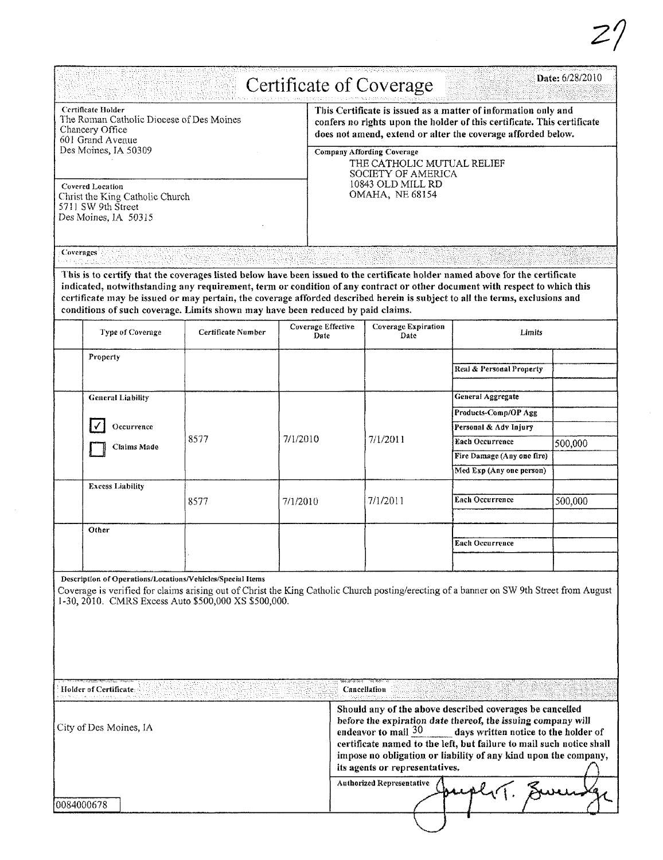|            |                                                                                                                                                                                                                                                                                                                                                                                                                                                                                                    |                    |          |                                                                                                                                                                                                                                                                                                                                                                                                     | d i stereordent en alle element mat i l'un cantine la parte i l'unit i l'environt manage<br>Certificate of Coverage |                                                        | Date: 6/28/2010 |  |  |
|------------|----------------------------------------------------------------------------------------------------------------------------------------------------------------------------------------------------------------------------------------------------------------------------------------------------------------------------------------------------------------------------------------------------------------------------------------------------------------------------------------------------|--------------------|----------|-----------------------------------------------------------------------------------------------------------------------------------------------------------------------------------------------------------------------------------------------------------------------------------------------------------------------------------------------------------------------------------------------------|---------------------------------------------------------------------------------------------------------------------|--------------------------------------------------------|-----------------|--|--|
|            | Certificate Holder<br>The Roman Catholic Diocese of Des Moines<br>Chancery Office<br>601 Grand Avenue<br>Des Moines, IA 50309                                                                                                                                                                                                                                                                                                                                                                      |                    |          | This Certificate is issued as a matter of information only and<br>confers no rights upon the holder of this certificate. This certificate<br>does not amend, extend or alter the coverage afforded below.<br><b>Company Affording Coverage</b><br>THE CATHOLIC MUTUAL RELIEF<br>SOCIETY OF AMERICA<br>10843 OLD MILL RD<br><b>OMAHA, NE 68154</b>                                                   |                                                                                                                     |                                                        |                 |  |  |
|            | <b>Covered Location</b><br>Christ the King Catholic Church<br>5711 SW 9th Street<br>Des Moines, IA 50315                                                                                                                                                                                                                                                                                                                                                                                           |                    |          |                                                                                                                                                                                                                                                                                                                                                                                                     |                                                                                                                     |                                                        |                 |  |  |
| Coverages  |                                                                                                                                                                                                                                                                                                                                                                                                                                                                                                    |                    |          |                                                                                                                                                                                                                                                                                                                                                                                                     |                                                                                                                     |                                                        |                 |  |  |
|            | This is to certify that the coverages listed below have been issued to the certificate holder named above for the certificate<br>indicated, notwithstanding any requirement, term or condition of any contract or other document with respect to which this<br>certificate may be issued or may pertain, the coverage afforded described herein is subject to all the terms, exclusions and<br>conditions of such coverage. Limits shown may have been reduced by paid claims.<br>Type of Coverage | Certificate Number |          | Coverage Effective<br>Date                                                                                                                                                                                                                                                                                                                                                                          | Coverage Expiration<br>Date                                                                                         | Limits                                                 |                 |  |  |
|            | Property                                                                                                                                                                                                                                                                                                                                                                                                                                                                                           |                    |          |                                                                                                                                                                                                                                                                                                                                                                                                     |                                                                                                                     |                                                        |                 |  |  |
|            |                                                                                                                                                                                                                                                                                                                                                                                                                                                                                                    |                    |          |                                                                                                                                                                                                                                                                                                                                                                                                     |                                                                                                                     | Real & Personal Property                               |                 |  |  |
|            | <b>General Liability</b>                                                                                                                                                                                                                                                                                                                                                                                                                                                                           |                    |          |                                                                                                                                                                                                                                                                                                                                                                                                     |                                                                                                                     | General Aggregate                                      |                 |  |  |
|            |                                                                                                                                                                                                                                                                                                                                                                                                                                                                                                    |                    |          |                                                                                                                                                                                                                                                                                                                                                                                                     |                                                                                                                     | Products-Comp/OP Agg                                   |                 |  |  |
|            | Occurrence                                                                                                                                                                                                                                                                                                                                                                                                                                                                                         |                    |          |                                                                                                                                                                                                                                                                                                                                                                                                     |                                                                                                                     | Personal & Adv Injury                                  |                 |  |  |
|            | Claims Made                                                                                                                                                                                                                                                                                                                                                                                                                                                                                        | 8577               | 7/1/2010 |                                                                                                                                                                                                                                                                                                                                                                                                     | 7/1/2011                                                                                                            | Each Occurrence                                        | 500,000         |  |  |
|            |                                                                                                                                                                                                                                                                                                                                                                                                                                                                                                    |                    |          |                                                                                                                                                                                                                                                                                                                                                                                                     |                                                                                                                     | Fire Damage (Any one fire)<br>Med Exp (Any one person) |                 |  |  |
|            | <b>Excess Liability</b>                                                                                                                                                                                                                                                                                                                                                                                                                                                                            |                    |          |                                                                                                                                                                                                                                                                                                                                                                                                     |                                                                                                                     |                                                        |                 |  |  |
|            |                                                                                                                                                                                                                                                                                                                                                                                                                                                                                                    | 8577               | 7/1/2010 |                                                                                                                                                                                                                                                                                                                                                                                                     | 7/1/2011                                                                                                            | <b>Each Occurrence</b>                                 | 500,000         |  |  |
|            | Other                                                                                                                                                                                                                                                                                                                                                                                                                                                                                              |                    |          |                                                                                                                                                                                                                                                                                                                                                                                                     |                                                                                                                     |                                                        |                 |  |  |
|            |                                                                                                                                                                                                                                                                                                                                                                                                                                                                                                    |                    |          |                                                                                                                                                                                                                                                                                                                                                                                                     |                                                                                                                     | Each Occurrence                                        |                 |  |  |
|            | Description of Operations/Locations/Vehicles/Special Items<br>Coverage is verified for claims arising out of Christ the King Catholic Church posting/erecting of a banner on SW 9th Street from August<br>1-30, 2010. CMRS Excess Auto \$500,000 XS \$500,000.                                                                                                                                                                                                                                     |                    |          |                                                                                                                                                                                                                                                                                                                                                                                                     |                                                                                                                     |                                                        |                 |  |  |
|            | Holder of Certificate:<br>eta autoresa a antoniar a coto una                                                                                                                                                                                                                                                                                                                                                                                                                                       |                    |          |                                                                                                                                                                                                                                                                                                                                                                                                     | Cancellation                                                                                                        |                                                        |                 |  |  |
|            | City of Des Moines, IA                                                                                                                                                                                                                                                                                                                                                                                                                                                                             |                    |          | Should any of the above described coverages be cancelled<br>before the expiration date thereof, the issuing company will<br>endeavor to mail $30$<br>days written notice to the holder of<br>certificate named to the left, but failure to mail such notice shall<br>impose no obligation or liability of any kind upon the company,<br>its agents or representatives.<br>Authorized Representative |                                                                                                                     |                                                        |                 |  |  |
| 0084000678 |                                                                                                                                                                                                                                                                                                                                                                                                                                                                                                    |                    |          |                                                                                                                                                                                                                                                                                                                                                                                                     |                                                                                                                     |                                                        |                 |  |  |

 $\sim$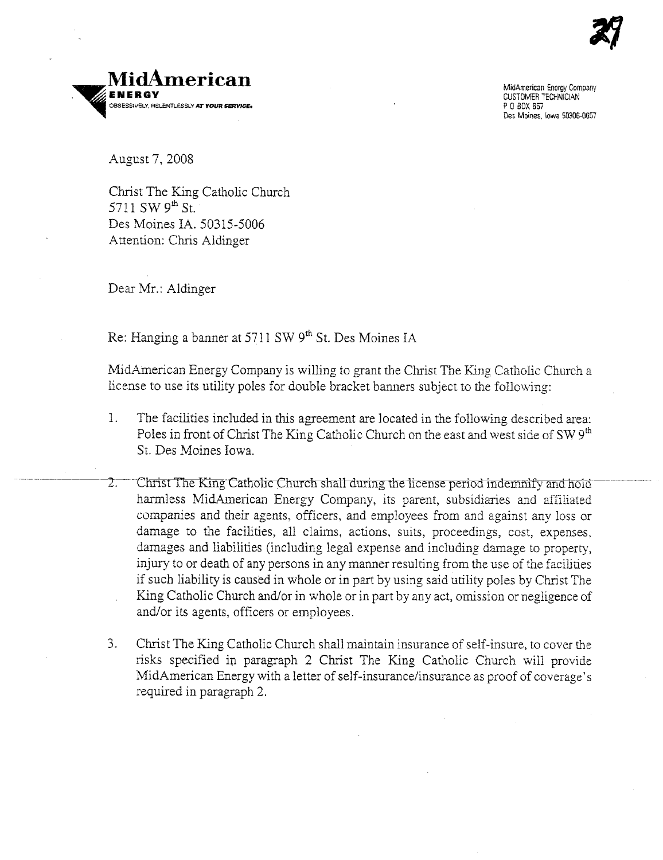



MidAmericBl1 Energy Company CUSTOMER TECHNICIAN POBOX 657 Des Moines, Iowa 50306-657

August 7, 2008

Christ The King Catholic Church 5711 SW  $9<sup>th</sup>$  St. Des Moines lA. 50315-5006 Attention: Chris Aldinger

Dear Mr.: Aldinger

Re: Hanging a banner at 5711 SW 9<sup>th</sup> St. Des Moines IA

MidAmerican Energy Company is willing to grant the Christ The King Catholic Church a lìcense to use its utility poles for double bracket banners subject to the following:

- 1. The facilities included in ths agreement are located in the following described area: Poles in front of Christ The King Catholic Church on the east and west side of SW  $9<sup>th</sup>$ St. Des Moines Iowa.
- .. -----~------¿:\_-ClTis tll1e K:ng-CarnolìchlIfcl1a11â.uring-tne-license peri oLl inoe:iìfy and-l1ùlô------ -- harmless MidAmerican Energy Company, its parent, subsidiaries and affiliated companies and their agents, officers, and employees from and against any loss or damage to the facilities, all claims, actions, suits, proceedings, cost, expenses, damages and liabilities (including legal expense and including damage to property, injury to or death of any persons in any manner resulting from the use of the facilities if such liability is caused in whole or in part by using said utility poles by Christ The King Catholic Church and/or in whole or in part by any act, omission or negligence of and/or its agents, officers or employees.
- 3. Christ The King Catholic Church shall maintain insurance of self-insure, to cover the risks specified in paragraph 2 Christ The King Catholic Church will provide MidAmerican Energy with a letter of self-insurance/insurance as proof of coverage's required in paragraph 2.